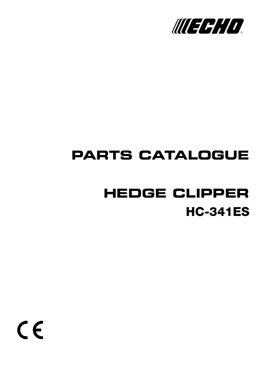

# **PARTS CATALOGUE**

# **HC-341ES HEDGE CLIPPER**

 $C \in$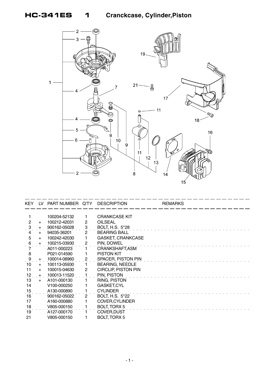

| <b>KEY</b>      | 1V  | PART NUMBER Q'TY |                | <b>DESCRIPTION</b>         | <b>REMARKS</b> |
|-----------------|-----|------------------|----------------|----------------------------|----------------|
|                 |     |                  |                |                            |                |
|                 |     | 100204-52132     |                | <b>CRANKCASE KIT</b>       |                |
| $\overline{2}$  | $+$ | 100212-42031     | 2              | <b>OILSEAL</b>             |                |
| $\ddot{\cdot}$  | $+$ | 900162-05028     | $\overline{3}$ | <b>BOLT, H.S. 5*28</b>     |                |
| 4               | $+$ | 94035-36201      | $2^{\circ}$    | <b>BEARING BALL</b>        |                |
| 5               | $+$ | 100242-42030     |                | <b>GASKET, CRANKCASE</b>   |                |
| 6               | $+$ | 100215-03930     | $\mathbf{2}$   | PIN, DOWEL                 |                |
|                 |     | A011-000223      |                | CRANKSHAFT, ASM            |                |
| 8               |     | P021-014590      |                | <b>PISTON KIT</b>          |                |
|                 | $+$ | 100014-08960     | $\overline{2}$ | SPACER, PISTON PIN         |                |
| 10              | $+$ | 100113-05930     | 1.             | <b>BEARING, NEEDLE</b>     |                |
| 11              | $+$ | 100015-04630     | $\mathbf{2}$   | <b>CIRCLIP, PISTON PIN</b> |                |
| 12              |     | + 100013-11520   |                | PIN, PISTON                |                |
| 13              | $+$ | A101-000130      |                | RING, PISTON               |                |
| 14              |     | V100-000250      |                | <b>GASKET,CYL</b>          |                |
| 15              |     | A130-000890      |                | <b>CYLINDER</b>            |                |
| 16              |     | 900162-05022     | $\overline{2}$ | <b>BOLT, H.S. 5*22</b>     |                |
| 17              |     | A160-000880      |                | <b>COVER, CYLINDER</b>     |                |
|                 |     | V805-000150      |                | <b>BOLT, TORX 5</b>        |                |
| $\frac{18}{19}$ |     | A127-000170      |                | <b>COVER, DUST</b>         |                |
| 21              |     | V805-000150      |                | <b>BOLT, TORX 5</b>        |                |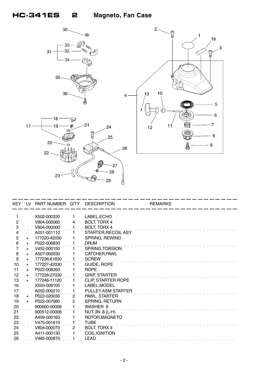

 $-29$ 

Ő

|                 |     | KEY LV PART NUMBER Q'TY DESCRIPTION |                       |                           | <b>REMARKS</b> |
|-----------------|-----|-------------------------------------|-----------------------|---------------------------|----------------|
|                 |     | X502-000330                         | 1                     | LABEL, ECHO               |                |
| $\overline{2}$  |     | V804-000060                         | 4                     | <b>BOLT, TORX 4</b>       |                |
| $\dot{3}$       |     | V804-000000                         |                       | <b>BOLT, TORX 4</b>       |                |
| 4               |     | A051-001110                         |                       | STARTER, RECOIL ASY       |                |
| 5               | $+$ | 177220-42030                        |                       | SPRING, REWIND            |                |
| 6               | $+$ | P022-006830                         |                       | <b>DRUM</b>               |                |
| $\dot{7}$       | $+$ | V452-000150                         |                       | SPRING, TORSION           |                |
| 8               | $+$ | A507-000030                         |                       | CATCHER, PAWL             |                |
| $\dot{\theta}$  | $+$ | 177236-61830                        |                       | <b>SCREW</b>              |                |
| 10              | $+$ | 177227-42030                        |                       | <b>GUIDE, ROPE</b>        |                |
| 11              | $+$ | P022-008260                         |                       | <b>ROPE</b>               |                |
| .12             | $+$ | 177228-27030                        |                       | <b>GRIP, STARTER</b>      |                |
| 13              | $+$ | 177246-11120                        |                       | <b>CLIP, STARTER ROPE</b> |                |
| 16              |     | X503-009100                         |                       | LABEL, MODEL              |                |
| 17              |     | A052-000210                         |                       | PULLEY, ASM STARTER       |                |
| 18              | $+$ | P022-020030                         | $\overline{2}$        | PAWL, STARTER             |                |
| 19              | $+$ | P022-007980                         | 2                     | SPRING, RETURN            |                |
| 20              |     | 900600-00008                        |                       | WASHER 8                  |                |
| $\overline{21}$ |     | 900512-00008                        |                       | $NUT$ 3N $8$ (L-H)        |                |
| 22              |     | A409-000160                         | 1                     | ROTOR, MAGNETO            |                |
| 23              |     | V475-001610                         | 1.                    | <b>TUBE</b>               |                |
| 24              |     | V804-000070                         | $\mathbf{2}^{\prime}$ | <b>BOLT, TORX 4</b>       |                |
| 25              |     | A411-000130                         | 1                     | COIL, IGNITION            |                |
| 26              |     | V485-000870                         |                       | LEAD                      |                |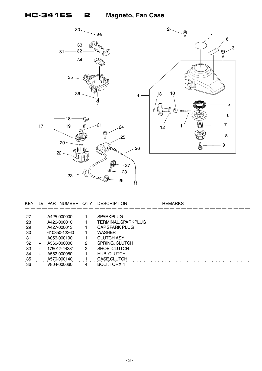



| <b>KEY</b>      | IV. | PART NUMBER Q'TY |   | <b>DESCRIPTION</b>     | <b>REMARKS</b> |
|-----------------|-----|------------------|---|------------------------|----------------|
|                 |     |                  |   |                        |                |
| -27             |     | A425-000000      |   | <b>SPARKPLUG</b>       |                |
| -28             |     | A426-000010      |   | TERMINAL, SPARKPLUG    |                |
| $^{29}$         |     | A427-000013      |   | <b>CAP, SPARK PLUG</b> |                |
| 30 <sup>°</sup> |     | 610350-12360     |   | <b>WASHER</b>          |                |
| -31             |     | A056-000190      |   | <b>CLUTCH ASY</b>      |                |
| -32             |     | A566-000000      | 2 | SPRING, CLUTCH         |                |
| 33 <sub>3</sub> |     | 175017-44331     | 2 | SHOE, CLUTCH           |                |
| -34             |     | A552-000080      |   | HUB, CLUTCH            |                |
| $\frac{35}{5}$  |     | A570-000140      |   | CASE, CLUTCH           |                |
| 36              |     | V804-000060      | 4 | BOLT, TORX 4           |                |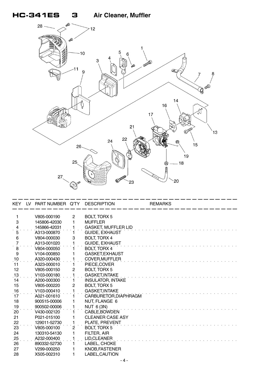## **HC-341ES 3 Air Cleaner, Muffler**



|            | KEY LV PART NUMBER Q'TY DESCRIPTION |                |                            | <b>REMARKS</b> |  |
|------------|-------------------------------------|----------------|----------------------------|----------------|--|
|            | V805-000190                         | $\mathbf{2}$   | <b>BOLT, TORX 5</b>        |                |  |
| 3          | 145806-42030                        | 1              | <b>MUFFLER</b>             |                |  |
|            | 145866-42031                        |                | <b>GASKET, MUFFLER LID</b> |                |  |
| 4<br>5     | A313-000870                         |                | <b>GUIDE, EXHAUST</b>      |                |  |
| 6          | V804-000030                         | 3              | <b>BOLT, TORX 4</b>        |                |  |
| 7          | A313-001020                         |                | GUIDE, EXHAUST             |                |  |
| $\dot{8}$  | V804-000050                         | 1.             | <b>BOLT, TORX 4</b>        |                |  |
| 9          | V <sub>104</sub> -000850            | 1              | GASKET, EXHAUST            |                |  |
| .10        | A320-000430                         |                | COVER, MUFFLER             |                |  |
| 11         | A323-000010                         |                | PIECE, COVER               |                |  |
| 12         | V805-000150                         | $\overline{c}$ | <b>BOLT, TORX 5</b>        |                |  |
| 13         | V <sub>103</sub> -000180            |                | <b>GASKET, INTAKE</b>      |                |  |
| 14         | A200-000300                         | 1.             | <b>INSULATOR, INTAKE</b>   |                |  |
| 15         | V805-000220                         | $\overline{c}$ | <b>BOLT, TORX 5</b>        |                |  |
| 16         | V103-000410                         |                | <b>GASKET, INTAKE</b>      |                |  |
| $\dot{17}$ | A021-001610                         |                | CARBURETOR, DIAPHRAGM      |                |  |
| 18         | 900515-00006                        |                | NUT, FLANGE 6              |                |  |
| 19         | 900502-00006                        |                | <b>NUT 6 (3N)</b>          |                |  |
| 20         | V430-002120                         | 1.             | CABLE, BOWDEN              |                |  |
| 21         | P021-015100                         | 1              | <b>CLEANER CASE ASY</b>    |                |  |
| 22         | 129011-52730                        |                | PLATE, PREVENT             |                |  |
| 23         | V805-000100                         | $\overline{2}$ | <b>BOLT, TORX 5</b>        |                |  |
| 24         | 130310-54130                        |                | FILTER, AIR                |                |  |
| 25         | A232-000400                         |                | LID, CLEANER               |                |  |
| 26         | 890332-52730                        | 1.             | LABEL, CHOKE               |                |  |
| 27         | V299-000250                         | 1              | KNOB, FASTENER             |                |  |
| 28         | X505-002310                         | 1              | LABEL, CAUTION             |                |  |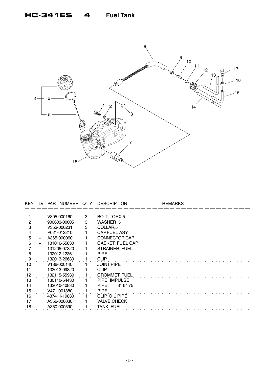### **HC-341ES 4 Fuel Tank**



| KEY. | LV. | PART NUMBER Q'TY |   | <b>DESCRIPTION</b>      | <b>REMARKS</b> |
|------|-----|------------------|---|-------------------------|----------------|
|      |     |                  |   |                         |                |
|      |     | V805-000160      | 3 | <b>BOLT, TORX 5</b>     |                |
| 2    |     | 900603-00005     | 3 | <b>WASHER 5</b>         |                |
|      |     | V353-000231      | 3 | COLLAR <sub>,5</sub>    |                |
|      |     | P021-012210      |   | <b>CAP,FUEL ASY</b>     |                |
| 5    | $+$ | A365-000060      |   | CONNECTOR, CAP          |                |
| 6    | $+$ | 131016-55830     |   | <b>GASKET, FUEL CAP</b> |                |
|      |     | 131205-07320     |   | STRAINER, FUEL          |                |
| 8    |     | 132012-12361     |   | <b>PIPE</b>             |                |
| 9    |     | 132013-26630     |   | <b>CLIP</b>             |                |
| 10   |     | V186-000140      |   | <b>JOINT, PIPE</b>      |                |
| 11   |     | 132013-09820     |   | <b>CLIP</b>             |                |
| 12   |     | 132115-55930     |   | <b>GROMMET, FUEL</b>    |                |
| 13   |     | 130110-54430     |   | PIPE, IMPULSE           |                |
| 14   |     | 132010-40830     |   | <b>PIPE</b><br>$3*6*75$ |                |
| 15   |     | V471-001880      |   | <b>PIPE</b>             |                |
| 16   |     | 437411-19830     |   | CLIP, OIL PIPE          |                |
| 17   |     | A356-000030      |   | <b>VALVE, CHECK</b>     |                |
| 18   |     | A350-000590      |   | <b>TANK, FUEL</b>       |                |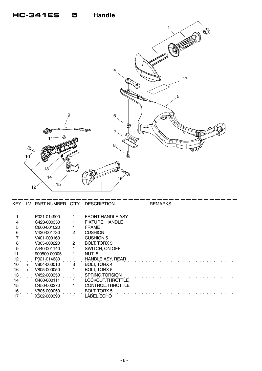#### **HC-341ES 5 Handle**

| 4<br>17<br>5<br>$\boldsymbol{9}$<br>$\,6\,$<br>虛<br>7<br>ß.<br>11<br>8<br>CRADO<br>₿<br>10 <sup>′</sup> |       | 1<br>$\circledS$ |
|---------------------------------------------------------------------------------------------------------|-------|------------------|
|                                                                                                         |       |                  |
|                                                                                                         |       |                  |
| 13 <sup>′</sup><br>৬<br><b>EVER</b><br>14                                                               | كأكرا |                  |

| KEY | LV. | PART NUMBER  | -Q'TY | <b>DESCRIPTION</b>       | <b>REMARKS</b> |
|-----|-----|--------------|-------|--------------------------|----------------|
|     |     |              |       |                          |                |
|     |     | P021-014900  |       | <b>FRONT HANDLE ASY</b>  |                |
|     |     | C423-000350  |       | <b>FIXTURE, HANDLE</b>   |                |
|     |     | C600-001020  |       | <b>FRAME</b>             |                |
|     |     | V420-001730  |       | <b>CUSHION</b>           |                |
|     |     | V401-000160  |       | CUSHION,5                |                |
|     |     | V805-000220  |       | <b>BOLT, TORX 5</b>      |                |
|     |     | A440-001140  |       | SWITCH, ON OFF           |                |
|     |     | 900500-00005 |       | NUT <sub>5</sub>         |                |
| 12  |     | P021-014630  |       | <b>HANDLE ASY, REAR</b>  |                |
| 10  | $+$ | V804-000010  | 3     | <b>BOLT, TORX 4</b>      |                |
| 16  |     | V805-000050  |       | <b>BOLT, TORX 5</b>      |                |
| 13  |     | V452-000350  |       | SPRING, TORSION          |                |
| 14  |     | C460-000111  |       | <b>LOCKOUT, THROTTLE</b> |                |
| 15  |     | C450-000270  |       | CONTROL, THROTTLE        |                |
| 16  |     | V805-000050  |       | <b>BOLT, TORX 5</b>      |                |
|     |     | X502-000390  |       | LABEL,ECHO               |                |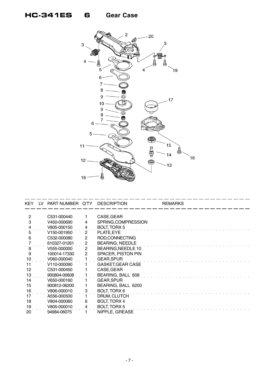### **HC-341ES 6 Gear Case**



| KEY.            | LV. | PART NUMBER Q'TY         |                      | <b>DESCRIPTION</b>        | <b>REMARKS</b> |
|-----------------|-----|--------------------------|----------------------|---------------------------|----------------|
| 2               |     | C531-000440              |                      | CASE, GEAR                |                |
| 3               |     | V450-000690              | 4                    | SPRING, COMPRESSION       |                |
|                 |     | V805-000150              |                      | <b>BOLT, TORX 5</b>       |                |
| 5               |     | V <sub>150</sub> -001950 | $\overline{2}$       | PLATE, EYE                |                |
| 6               |     | C532-000080              | $\mathbf{2}$         | ROD, CONNECTING           |                |
|                 |     | 610327-01261             | $\mathbf{2}$         | <b>BEARING, NEEDLE</b>    |                |
| 8               |     | V555-000000              | $\mathbf{2}^{\circ}$ | BEARING, NEEDLE 10        |                |
| 9               |     | 100014-17330             | 2                    | <b>SPACER, PISTON PIN</b> |                |
| 10              |     | V060-000040              |                      | <b>GEAR, SPUR</b>         |                |
| 11              |     | V110-000090              |                      | <b>GASKET, GEAR CASE</b>  |                |
| 12              |     | C531-000450              |                      | CASE, GEAR                |                |
| 13              |     | 900804-00608             |                      | BEARING, BALL 608         |                |
| 14              |     | V650-000160              |                      | <b>GEAR, SPUR</b>         |                |
| 15              |     | 900812-06200             |                      | BEARING, BALL 6200        |                |
| $\frac{16}{17}$ |     | V806-000010              | 3                    | <b>BOLT, TORX 6</b>       |                |
|                 |     | A556-000500              |                      | DRUM, CLUTCH              |                |
| 18              |     | V804-000060              | 6                    | <b>BOLT, TORX 4</b>       |                |
| 19              |     | V805-000010              |                      | <b>BOLT, TORX 5</b>       |                |
| 20              |     | 94984-06075              |                      | NIPPLE, GREASE            |                |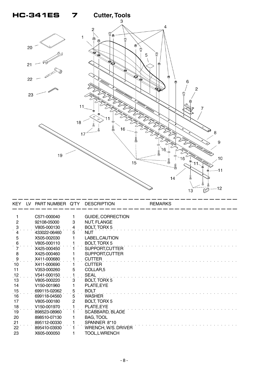

|                | KEY LV PART NUMBER Q'TY DESCRIPTION |                 |                          | <b>REMARKS</b> |
|----------------|-------------------------------------|-----------------|--------------------------|----------------|
|                | C571-000040                         |                 | <b>GUIDE, CORRECTION</b> |                |
| $\overline{c}$ | 92108-05000                         | 3               | <b>NUT, FLANGE</b>       |                |
| $\dot{3}$      | V805-000130                         | $\frac{4}{\pi}$ | <b>BOLT, TORX 5</b>      |                |
|                | 433022-06460                        | 5               | <b>NUT</b>               |                |
| $\overline{5}$ | X505-002030                         |                 | LABEL, CAUTION           |                |
| 6              | V805-000110                         |                 | <b>BOLT, TORX 5</b>      |                |
|                | X425-000450                         |                 | SUPPORT, CUTTER          |                |
| 8              | X425-000460                         |                 | SUPPORT, CUTTER          |                |
| $\frac{9}{1}$  | X411-000680                         |                 | <b>CUTTER</b>            |                |
| 10             | X411-000690                         |                 | <b>CUTTER</b>            |                |
| 11             | V353-000260                         | 5               | COLLAR <sub>5</sub>      |                |
| 12             | V541-000150                         |                 | <b>SEAL</b>              |                |
| 13             | V805-000220                         | 3               | <b>BOLT, TORX 5</b>      |                |
| 14             | V150-001960                         |                 | PLATE, EYE               |                |
| 15             | 699115-02062                        | 5               | <b>BOLT</b>              |                |
| 16             | 699118-04560                        | 5               | <b>WASHER</b>            |                |
| 17             | V805-000180                         | 2               | <b>BOLT, TORX 5</b>      |                |
| 18             | V <sub>150</sub> -001970            |                 | PLATE, EYE               |                |
| 19             | 898523-08960                        |                 | <b>SCABBARD, BLADE</b>   |                |
| 20             | 898510-07130                        |                 | BAG, TOOL                |                |
| 21             | 895112-00330                        |                 | SPANNER 8*10             |                |
| 22             | 895410-03930                        |                 | WRENCH, W/S. DRIVER      |                |
| 23             | X605-000050                         |                 | TOOL,LWRENCH             |                |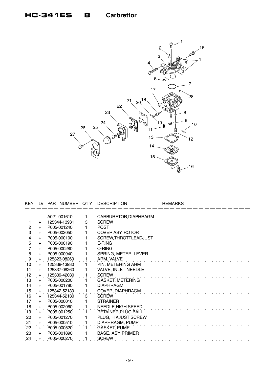### **HC-341ES 8 Carbrettor**



| KEY            |       | LV PART NUMBER Q'TY |   | <b>DESCRIPTION</b>      | <b>REMARKS</b> |
|----------------|-------|---------------------|---|-------------------------|----------------|
|                |       | A021-001610         | 1 | CARBURETOR, DIAPHRAGM   |                |
|                | $+$   | 125344-13931        | 3 | <b>SCREW</b>            |                |
|                | $+$   | P005-001240         |   | <b>POST</b>             |                |
| $rac{2}{3}$    | $+$   | P005-002050         |   | COVER ASY, ROTOR        |                |
| $\overline{4}$ | $+$   | P005-000100         |   | SCREW, THROTTLEADJUST   |                |
|                | $+$   | P005-000190         |   | E-RING                  |                |
| $\frac{5}{7}$  | $+$   | P005-000280         |   | O-RING                  |                |
| 8              | $+$   | P005-000940         |   | SPRING, METER. LEVER    |                |
| 9              | $+$   | 125323-08260        |   | ARM, VALVE              |                |
| 10             | $+$   | 125338-13930        |   | PIN, METERING ARM       |                |
| 11             | $+$   | 125337-08260        |   | VALVE, INLET NEEDLE     |                |
| 12             | $+$   | 125339-42030        |   | <b>SCREW</b>            |                |
| 13             | $+$   | P005-000200         |   | <b>GASKET, METERING</b> |                |
| 14             | $+$   | P005-001780         |   | <b>DIAPHRAGM</b>        |                |
| 15             | $+$   | 125342-52130        |   | COVER, DIAPHRAGM        |                |
| 16             | $+$   | 125344-52130        | 3 | <b>SCREW</b>            |                |
| 17             | $+$   | P005-000010         |   | <b>STRAINER</b>         |                |
| 18             | $+$   | P005-002060         |   | NEEDLE, HIGH SPEED      |                |
| 19             | $+$   | P005-001250         |   | RETAINER, PLUG BALL     |                |
| 20             | $+$   | P005-001270         |   | PLUG, H AJUST SCREW     |                |
| 21             | $+$   | P005-000510         |   | DIAPHRAGM, PUMP         |                |
| 22             | $+$   | P005-000520         |   | <b>GASKET, PUMP</b>     |                |
| 23             | $+$   | P005-001890         |   | <b>BASE, ASY PRIMER</b> |                |
| 24             | $\pm$ | P005-000270         |   | <b>SCREW</b>            |                |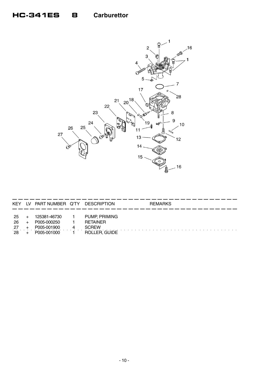### HC-341ES 8 Carburettor



| KEY                     | LV. | PART NUMBER Q'TY                                          |   | DESCRIPTION                                                              | <b>REMARKS</b> |
|-------------------------|-----|-----------------------------------------------------------|---|--------------------------------------------------------------------------|----------------|
| -25<br>26<br>-27<br>-28 |     | 125381-46730<br>P005-000250<br>P005-001900<br>P005-001000 | 4 | <b>PUMP, PRIMING</b><br><b>RETAINER</b><br><b>SCREW</b><br>ROLLER, GUIDE |                |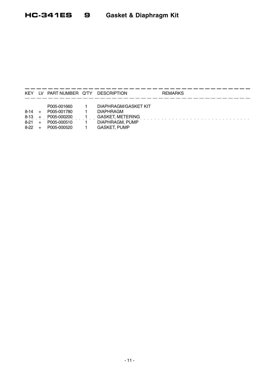#### **HC-341ES** 9 Gasket & Diaphragm Kit

| <b>KEY</b> | LV. | PART NUMBER Q'TY | <b>DESCRIPTION</b>          | <b>REMARKS</b> |
|------------|-----|------------------|-----------------------------|----------------|
|            |     | P005-001660      | <b>DIAPHRAGM/GASKET KIT</b> |                |
| 8-14       | $+$ | P005-001780      | <b>DIAPHRAGM</b>            |                |
| $8 - 13$   |     | P005-000200      | <b>GASKET, METERING</b>     |                |
| $8-21$     |     | P005-000510      | DIAPHRAGM, PUMP             |                |
| 8-22       |     | P005-000520      | <b>GASKET, PUMP</b>         |                |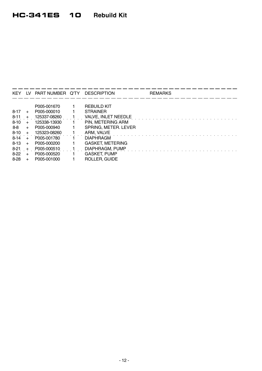| <b>KEY</b> |     | LV PART NUMBER Q'TY | <b>DESCRIPTION</b>      | <b>REMARKS</b> |
|------------|-----|---------------------|-------------------------|----------------|
|            |     |                     |                         |                |
|            |     | P005-001670         | <b>REBUILD KIT</b>      |                |
| $8 - 17$   | $+$ | P005-000010         | <b>STRAINER</b>         |                |
| $8 - 11$   | $+$ | 125337-08260        | VALVE, INLET NEEDLE     |                |
| $8 - 10$   | $+$ | 125338-13930        | PIN, METERING ARM       |                |
| 8-8        | $+$ | P005-000940         | SPRING, METER. LEVER    |                |
| $8 - 10$   | $+$ | 125323-08260        | ARM, VALVE              |                |
| $8 - 14$   |     | P005-001780         | <b>DIAPHRAGM</b>        |                |
| $8 - 13$   | $+$ | P005-000200         | <b>GASKET, METERING</b> |                |
| $8-21$     | $+$ | P005-000510         | DIAPHRAGM, PUMP         |                |
| 8-22       | $+$ | P005-000520         | <b>GASKET, PUMP</b>     |                |
| $8 - 28$   |     | P005-001000         | ROLLER, GUIDE           |                |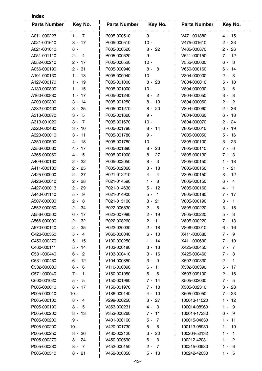| <b>Index</b>        |                         |                     |                         |                     |                                     |  |  |
|---------------------|-------------------------|---------------------|-------------------------|---------------------|-------------------------------------|--|--|
| <b>Parts Number</b> | Key No.                 | <b>Parts Number</b> | Key No.                 | <b>Parts Number</b> | Key No.                             |  |  |
| A011-000223         | $1 - 7$                 | P005-000510         | $9 -$                   | V471-001880         | $4 - 15$                            |  |  |
| A021-001610         | $3 - 17$                | P005-000510         | $10 -$                  | V475-001610         | $2 - 23$                            |  |  |
| A021-001610         | $8 -$                   | P005-000520         | $8 -$<br>22             | V485-000870         | $2 -$<br>26                         |  |  |
| A051-001110         | $2 -$<br>$\overline{4}$ | P005-000520         | $9 -$                   | V541-000150         | -12<br>7 -                          |  |  |
| A052-000210         | $2 -$<br>-17            | P005-000520         | $10 -$                  | V555-000000         | $6 -$<br>8                          |  |  |
| A056-000190         | $2 - 31$                | P005-000940         | $8 -$<br>8              | V650-000160         | $6 -$<br>-14                        |  |  |
| A101-000130         | -13<br>1 -              | P005-000940         | $10 -$                  | V804-000000         | 2 -<br>3                            |  |  |
| A127-000170         | $1 - 19$                | P005-001000         | $8 -$<br>28             | V804-000010         | 5 -<br>-10                          |  |  |
| A130-000890         | 15<br>1 -               | P005-001000         | $10 -$                  | V804-000030         | 3 -<br>6                            |  |  |
| A160-000880         | -17<br>1 -              | P005-001240         | $8 -$<br>$\overline{2}$ | V804-000050         | 3 -<br>8                            |  |  |
| A200-000300         | 14<br>3 -               | P005-001250         | $8 -$<br>19             | V804-000060         | $2 -$<br>$\overline{2}$             |  |  |
| A232-000400         | $3 -$<br>25             | P005-001270         | $8 -$<br>20             | V804-000060         | 2 -<br>36                           |  |  |
| A313-000870         | 5<br>3 -                | P005-001660         | $9 -$                   | V804-000060         | $6 -$<br>18                         |  |  |
| A313-001020         | 3 -<br>7                | P005-001670         | $10 -$                  | V804-000070         | $2 -$<br>24                         |  |  |
| A320-000430         | 10<br>3 -               | P005-001780         | $8 - 14$                | V805-000010         | 19<br>6 -                           |  |  |
| A323-000010         | $3 -$<br>11             | P005-001780         | $9 -$                   | V805-000050         | 5 -<br>-16                          |  |  |
| A350-000590         | 18<br>4 -               | P005-001780         | $10 -$                  | V805-000100         | 3 -<br>23                           |  |  |
| A356-000030         | 4 -<br>17               | P005-001890         | $8 -$<br>23             | V805-000110         | $7 -$<br>6                          |  |  |
| A365-000060         | 5<br>4 -                | P005-001900         | 27<br>8 -               | V805-000130         | 3<br>7 -                            |  |  |
| A409-000160         | $2 -$<br>22             | P005-002050         | 3<br>8 -                | V805-000150         | 18<br>1 -                           |  |  |
| A411-000130         | $2 -$<br>-25            | P005-002060         | 18<br>8 -               | V805-000150         | 21<br>1 -                           |  |  |
| A425-000000         | $2 - 27$                | P021-012210         | $\overline{4}$<br>4 -   | V805-000150         | 3 -<br>-12                          |  |  |
| A426-000010         | 28<br>2 -               | P021-014590         | 8<br>1 -                | V805-000150         | $6 -$<br>4                          |  |  |
| A427-000013         | 29<br>2 -               | P021-014630         | 12<br>5 -               | V805-000160         | 4 -<br>$\mathbf 1$                  |  |  |
| A440-001140         | 5 -<br>9                | P021-014900         | $\mathbf{1}$<br>5 -     | V805-000180         | 17<br>7 -                           |  |  |
| A507-000030         | 2 -<br>8                | P021-015100         | 21<br>3 -               | V805-000190         | 3 -<br>-1                           |  |  |
| A552-000080         | $2 - 34$                | P022-006830         | 6<br>$2 -$              | V805-000220         | 3 - 15                              |  |  |
| A556-000500         | 6 - 17                  | P022-007980         | $2 - 19$                | V805-000220         | 5 -<br>- 8                          |  |  |
| A566-000000         | $2 - 32$                | P022-008260         | $2 - 11$                | V805-000220         | $7 - 13$                            |  |  |
| A570-000140         | 2 - 35                  | P022-020030         | $2 - 18$                | V806-000010         | $6 - 16$                            |  |  |
| C423-000350         | $5 - 4$                 | V060-000040         | $6 - 10$                | X411-000680         | $7 - 9$                             |  |  |
| C450-000270         | $5 - 15$                | V100-000250         | 1 - 14                  | X411-000690         | $7 - 10$                            |  |  |
| C460-000111         | $5 - 14$                | V103-000180         | 13<br>3 -               | X425-000450         | $7 - 7$                             |  |  |
| C531-000440         | $\overline{2}$<br>$6 -$ | V103-000410         | $3 - 16$                | X425-000460         | 7 - 8                               |  |  |
| C531-000450         | $6 - 12$                | V104-000850         | $3 -$<br>9              | X502-000330         | $2 -$<br>$\overline{\phantom{0}}$ 1 |  |  |
| C532-000080         | $6 -$<br>6              | V110-000090         | $6 - 11$                | X502-000390         | $5 - 17$                            |  |  |
| C571-000040         | $7 -$<br>-1             | V150-001950         | - 5<br>6 -              | X503-009100         | $2 - 16$                            |  |  |
| C600-001020         | $5 -$<br>-5             | V150-001960         | $7 - 14$                | X505-002030         | $7 - 5$                             |  |  |
| P005-000010         | $8 - 17$                | V150-001970         | $7 - 18$                | X505-002310         | $3 - 28$                            |  |  |
| P005-000010         | $10 -$                  | V186-000140         | $4 - 10$                | X605-000050         | 7 - 23                              |  |  |
| P005-000100         | 8 -<br>-4               | V299-000250         | 27<br>3 -               | 100013-11520        | $1 - 12$                            |  |  |
| P005-000190         | $8 - 5$                 | V353-000231         | $4 - 3$                 | 100014-08960        | $1 -$<br>- 9                        |  |  |
| P005-000200         | $8 - 13$                | V353-000260         | $7 - 11$                | 100014-17330        | $6 -$<br>- 9                        |  |  |
| P005-000200         | $9 -$                   | V401-000160         | 5 -<br>$\overline{7}$   | 100015-04630        | $1 - 11$                            |  |  |
| P005-000200         | $10 -$                  | V420-001730         | $5 -$<br>6              | 100113-05930        | $1 - 10$                            |  |  |
| P005-000250         | $8 - 26$                | V430-002120         | 20<br>$3 -$             | 100204-52132        | 1 -<br>$\overline{1}$               |  |  |
| P005-000270         | $8 - 24$                | V450-000690         | $6 -$<br>- 3            | 100212-42031        | $\overline{2}$<br>1 -               |  |  |
| P005-000280         | $8 - 7$                 | V452-000150         | $2 - 7$                 | 100215-03930        | $1 -$<br>- 6                        |  |  |
| P005-000510         | $8 - 21$                | V452-000350         | $5 - 13$                | 100242-42030        | $1 - 5$                             |  |  |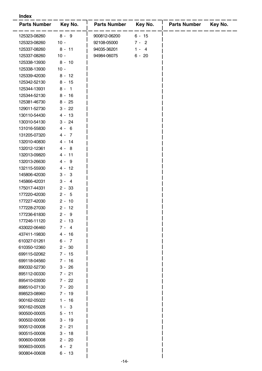#### **Index**

| <b>Parts Number</b>          | Key No.              | <b>Parts Number</b> | Key No.  | <b>Parts Number</b> | Key No. |
|------------------------------|----------------------|---------------------|----------|---------------------|---------|
| 125323-08260                 | $8 - 9$              | 900812-06200        | $6 - 15$ |                     |         |
| 125323-08260                 | $10 -$               | 92108-05000         | $7 - 2$  |                     |         |
| 125337-08260                 | $8 - 11$             | 94035-36201         | $1 - 4$  |                     |         |
| 125337-08260                 | $10 -$               | 94984-06075         | $6 - 20$ |                     |         |
| 125338-13930                 | $8 - 10$             |                     |          |                     |         |
| 125338-13930                 | $10 -$               |                     |          |                     |         |
| 125339-42030                 | $8 - 12$             |                     |          |                     |         |
| 125342-52130                 | $8 - 15$             |                     |          |                     |         |
| 125344-13931                 | $8 - 1$              |                     |          |                     |         |
| 125344-52130                 | $8 - 16$             |                     |          |                     |         |
| 125381-46730                 | $8 - 25$             |                     |          |                     |         |
| 129011-52730                 | $3 - 22$             |                     |          |                     |         |
| 130110-54430                 | $4 - 13$             |                     |          |                     |         |
| 130310-54130                 | $3 - 24$             |                     |          |                     |         |
| 131016-55830                 | $4 - 6$              |                     |          |                     |         |
| 131205-07320                 | $4 - 7$              |                     |          |                     |         |
| 132010-40830                 | 4 - 14               |                     |          |                     |         |
| 132012-12361                 | $4 - 8$              |                     |          |                     |         |
| 132013-09820                 | 4 - 11               |                     |          |                     |         |
| 132013-26630                 | $4 - 9$              |                     |          |                     |         |
| 132115-55930                 | $4 - 12$             |                     |          |                     |         |
| 145806-42030                 | $3 - 3$              |                     |          |                     |         |
| 145866-42031                 | $3 - 4$              |                     |          |                     |         |
| 175017-44331                 | $2 - 33$             |                     |          |                     |         |
| 177220-42030                 | $2 - 5$              |                     |          |                     |         |
| 177227-42030                 | $2 - 10$             |                     |          |                     |         |
| 177228-27030                 | $2 - 12$             |                     |          |                     |         |
| 177236-61830                 | $2 - 9$              |                     |          |                     |         |
| 177246-11120                 | $2 - 13$             |                     |          |                     |         |
| 433022-06460                 | $7 - 4$              |                     |          |                     |         |
| 437411-19830                 | $4 - 16$             |                     |          |                     |         |
| 610327-01261                 | $6 - 7$              |                     |          |                     |         |
| 610350-12360                 | $2 - 30$             |                     |          |                     |         |
| 699115-02062                 | $7 - 15$             |                     |          |                     |         |
| 699118-04560                 | $7 - 16$             |                     |          |                     |         |
| 890332-52730                 | $3 - 26$             |                     |          |                     |         |
| 895112-00330                 | 7 - 21               |                     |          |                     |         |
| 895410-03930                 | $7 - 22$             |                     |          |                     |         |
| 898510-07130                 | $7 - 20$             |                     |          |                     |         |
|                              |                      |                     |          |                     |         |
| 898523-08960<br>900162-05022 | $7 - 19$             |                     |          |                     |         |
|                              | 1 - 16<br>$1 - 3$    |                     |          |                     |         |
| 900162-05028                 |                      |                     |          |                     |         |
| 900500-00005                 | $5 - 11$<br>$3 - 19$ |                     |          |                     |         |
| 900502-00006                 |                      |                     |          |                     |         |
| 900512-00008                 | $2 - 21$             |                     |          |                     |         |
| 900515-00006                 | $3 - 18$             |                     |          |                     |         |
| 900600-00008                 | $2 - 20$             |                     |          |                     |         |
| 900603-00005                 | $4 - 2$              |                     |          |                     |         |
| 900804-00608                 | $6 - 13$             |                     |          |                     |         |